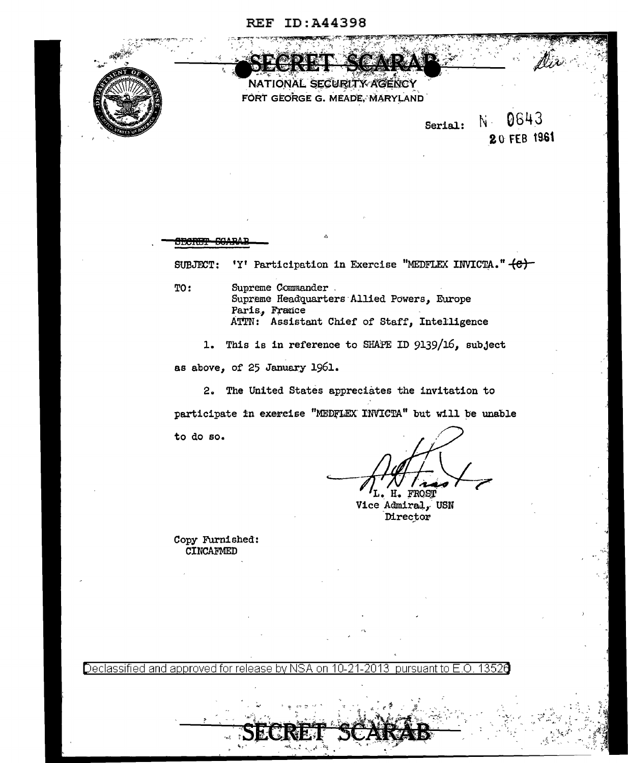## **REF ID: A44398**



NATIONAL SECURITY AGENCY FORT GEORGE G. MEADE, MARYLAND

N 0643 Serial: 20 FEB 1961

SUBJECT: 'Y' Participation in Exercise "MEDFLEX INVICTA." (C) TO: Supreme Commander. Supreme Headquarters Allied Powers, Europe Paris, France ATTN: Assistant Chief of Staff, Intelligence

1. This is in reference to SHAPE ID 9139/16, subject as above, of 25 January 1961.

2. The United States appreciates the invitation to participate in exercise "MEDFLEX INVICTA" but will be unable to do so.

L. H. FROST

Vice Admiral, USN Director

Copy Furnished: CINCAFMED

**JECRET SCARA** 

Declassified and approved for release by NSA on 10-21-2013 pursuant to E.O. 13526